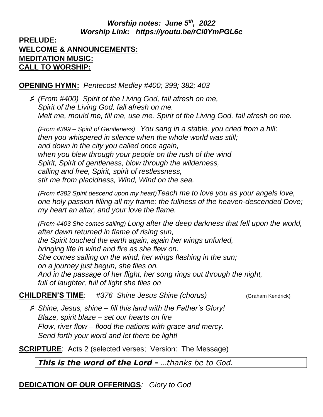# *Worship notes: June 5th , 2022 Worship Link: https://youtu.be/rCi0YmPGL6c*

## **PRELUDE: WELCOME & ANNOUNCEMENTS: MEDITATION MUSIC: CALL TO WORSHIP:**

#### **OPENING HYMN:** *Pentecost Medley #400; 399; 382; 403*

 *(From #400) Spirit of the Living God, fall afresh on me, Spirit of the Living God, fall afresh on me. Melt me, mould me, fill me, use me. Spirit of the Living God, fall afresh on me.*

*(From #399 – Spirit of Gentleness) You sang in a stable, you cried from a hill; then you whispered in silence when the whole world was still; and down in the city you called once again, when you blew through your people on the rush of the wind Spirit, Spirit of gentleness, blow through the wilderness, calling and free, Spirit, spirit of restlessness, stir me from placidness, Wind, Wind on the sea.*

*(From #382 Spirit descend upon my heart)Teach me to love you as your angels love, one holy passion filling all my frame: the fullness of the heaven-descended Dove; my heart an altar, and your love the flame.*

*(From #403 She comes sailing) Long after the deep darkness that fell upon the world, after dawn returned in flame of rising sun, the Spirit touched the earth again, again her wings unfurled, bringing life in wind and fire as she flew on. She comes sailing on the wind, her wings flashing in the sun; on a journey just begun, she flies on. And in the passage of her flight, her song rings out through the night, full of laughter, full of light she flies on*

**CHILDREN'S TIME**: #376 Shine Jesus Shine (chorus) *(Graham Kendrick)* 

 *Shine, Jesus, shine – fill this land with the Father's Glory! Blaze, spirit blaze – set our hearts on fire Flow, river flow – flood the nations with grace and mercy. Send forth your word and let there be light!*

**SCRIPTURE:** Acts 2 (selected verses; Version: The Message)

*This is the word of the Lord - …thanks be to God.*

# **DEDICATION OF OUR OFFERINGS***: Glory to God*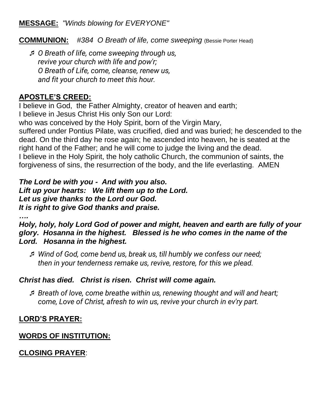## **MESSAGE:** *"Winds blowing for EVERYONE"*

**COMMUNION:** *#384 O Breath of life, come sweeping* (Bessie Porter Head)

 *O Breath of life, come sweeping through us, revive your church with life and pow'r; O Breath of Life, come, cleanse, renew us, and fit your church to meet this hour.*

#### **APOSTLE'S CREED:**

I believe in God, the Father Almighty, creator of heaven and earth;

I believe in Jesus Christ His only Son our Lord:

who was conceived by the Holy Spirit, born of the Virgin Mary,

suffered under Pontius Pilate, was crucified, died and was buried; he descended to the dead. On the third day he rose again; he ascended into heaven, he is seated at the right hand of the Father; and he will come to judge the living and the dead. I believe in the Holy Spirit, the holy catholic Church, the communion of saints, the forgiveness of sins, the resurrection of the body, and the life everlasting. AMEN

*The Lord be with you - And with you also. Lift up your hearts: We lift them up to the Lord. Let us give thanks to the Lord our God. It is right to give God thanks and praise.*

*….*

*Holy, holy, holy Lord God of power and might, heaven and earth are fully of your glory. Hosanna in the highest. Blessed is he who comes in the name of the Lord. Hosanna in the highest.*

 *Wind of God, come bend us, break us, till humbly we confess our need; then in your tenderness remake us, revive, restore, for this we plead.*

#### *Christ has died. Christ is risen. Christ will come again.*

 *Breath of love, come breathe within us, renewing thought and will and heart; come, Love of Christ, afresh to win us, revive your church in ev'ry part.*

# **LORD'S PRAYER:**

# **WORDS OF INSTITUTION:**

# **CLOSING PRAYER**: